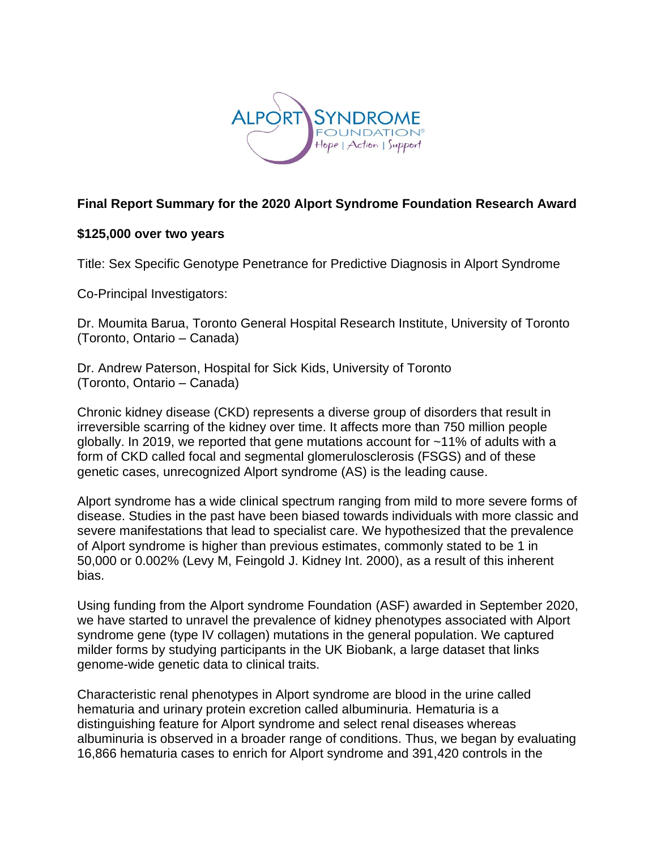

## **Final Report Summary for the 2020 Alport Syndrome Foundation Research Award**

## **\$125,000 over two years**

Title: Sex Specific Genotype Penetrance for Predictive Diagnosis in Alport Syndrome

Co-Principal Investigators:

Dr. Moumita Barua, Toronto General Hospital Research Institute, University of Toronto (Toronto, Ontario – Canada)

Dr. Andrew Paterson, Hospital for Sick Kids, University of Toronto (Toronto, Ontario – Canada)

Chronic kidney disease (CKD) represents a diverse group of disorders that result in irreversible scarring of the kidney over time. It affects more than 750 million people globally. In 2019, we reported that gene mutations account for ~11% of adults with a form of CKD called focal and segmental glomerulosclerosis (FSGS) and of these genetic cases, unrecognized Alport syndrome (AS) is the leading cause.

Alport syndrome has a wide clinical spectrum ranging from mild to more severe forms of disease. Studies in the past have been biased towards individuals with more classic and severe manifestations that lead to specialist care. We hypothesized that the prevalence of Alport syndrome is higher than previous estimates, commonly stated to be 1 in 50,000 or 0.002% (Levy M, Feingold J. Kidney Int. 2000), as a result of this inherent bias.

Using funding from the Alport syndrome Foundation (ASF) awarded in September 2020, we have started to unravel the prevalence of kidney phenotypes associated with Alport syndrome gene (type IV collagen) mutations in the general population. We captured milder forms by studying participants in the UK Biobank, a large dataset that links genome-wide genetic data to clinical traits.

Characteristic renal phenotypes in Alport syndrome are blood in the urine called hematuria and urinary protein excretion called albuminuria. Hematuria is a distinguishing feature for Alport syndrome and select renal diseases whereas albuminuria is observed in a broader range of conditions. Thus, we began by evaluating 16,866 hematuria cases to enrich for Alport syndrome and 391,420 controls in the